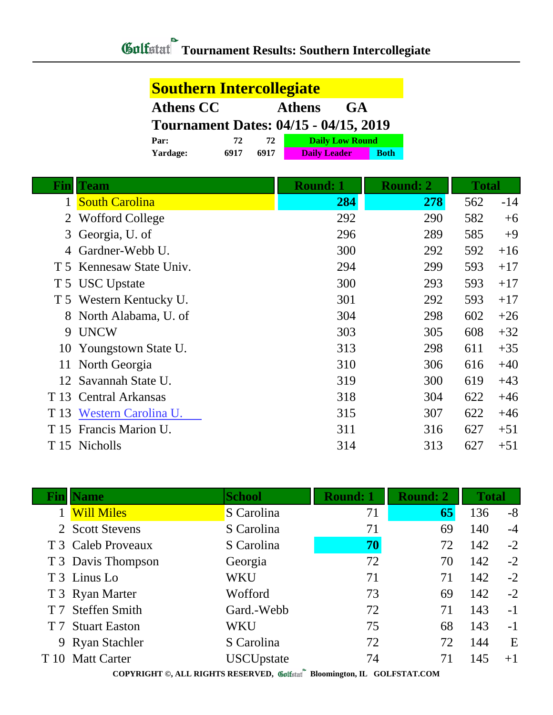#### **Southern Intercollegiate**

| <b>Athens CC</b>                             |      |      | Athens                 | <b>GA</b> |             |
|----------------------------------------------|------|------|------------------------|-----------|-------------|
| <b>Tournament Dates: 04/15 - 04/15, 2019</b> |      |      |                        |           |             |
| Par:                                         | 72.  | 72   | <b>Daily Low Round</b> |           |             |
| Yardage:                                     | 6917 | 6917 | <b>Daily Leader</b>    |           | <b>Both</b> |

|              | <b>Fin Team</b>          | <b>Round: 1</b> | <b>Round: 2</b> | <b>Total</b> |       |
|--------------|--------------------------|-----------------|-----------------|--------------|-------|
|              | 1 South Carolina         | 284             | 278             | 562          | $-14$ |
| $\mathbf{2}$ | <b>Wofford College</b>   | 292             | 290             | 582          | $+6$  |
| 3            | Georgia, U. of           | 296             | 289             | 585          | $+9$  |
| 4            | Gardner-Webb U.          | 300             | 292             | 592          | $+16$ |
|              | T 5 Kennesaw State Univ. | 294             | 299             | 593          | $+17$ |
|              | T 5 USC Upstate          | 300             | 293             | 593          | $+17$ |
|              | T 5 Western Kentucky U.  | 301             | 292             | 593          | $+17$ |
|              | 8 North Alabama, U. of   | 304             | 298             | 602          | $+26$ |
| 9            | <b>UNCW</b>              | 303             | 305             | 608          | $+32$ |
| 10           | Youngstown State U.      | 313             | 298             | 611          | $+35$ |
|              | 11 North Georgia         | 310             | 306             | 616          | $+40$ |
| 12           | Savannah State U.        | 319             | 300             | 619          | $+43$ |
| T 13         | <b>Central Arkansas</b>  | 318             | 304             | 622          | $+46$ |
| T 13         | Western Carolina U.      | 315             | 307             | 622          | $+46$ |
| T 15         | Francis Marion U.        | 311             | 316             | 627          | $+51$ |
|              | T 15 Nicholls            | 314             | 313             | 627          | $+51$ |

| Fin | <b>Name</b>        | <b>School</b>                                                                                                                                                                                                                 | <b>Round: 1</b> | <b>Round: 2</b> | <b>Total</b> |      |
|-----|--------------------|-------------------------------------------------------------------------------------------------------------------------------------------------------------------------------------------------------------------------------|-----------------|-----------------|--------------|------|
|     | <b>Will Miles</b>  | S Carolina                                                                                                                                                                                                                    | 71              | 65              | 136          | $-8$ |
|     | 2 Scott Stevens    | S Carolina                                                                                                                                                                                                                    | 71              | 69              | 140          | $-4$ |
|     | T 3 Caleb Proveaux | S Carolina                                                                                                                                                                                                                    | 70              | 72              | 142          | $-2$ |
|     | T 3 Davis Thompson | Georgia                                                                                                                                                                                                                       | 72              | 70              | 142          | $-2$ |
|     | T 3 Linus Lo       | WKU                                                                                                                                                                                                                           | 71              | 71              | 142          | $-2$ |
|     | T 3 Ryan Marter    | Wofford                                                                                                                                                                                                                       | 73              | 69              | 142          | $-2$ |
|     | T 7 Steffen Smith  | Gard.-Webb                                                                                                                                                                                                                    | 72              | 71              | 143          | $-1$ |
|     | T 7 Stuart Easton  | WKU                                                                                                                                                                                                                           | 75              | 68              | 143          | $-1$ |
|     | 9 Ryan Stachler    | S Carolina                                                                                                                                                                                                                    | 72              | 72              | 144          | E    |
|     | T 10 Matt Carter   | <b>USCUpstate</b>                                                                                                                                                                                                             | 74              | 71              | 145          | $+1$ |
|     |                    | the company of the company of the contract of the contract of the contract of the contract of the contract of the contract of the contract of the contract of the contract of the contract of the contract of the contract of |                 |                 |              |      |

**COPYRIGHT ©, ALL RIGHTS RESERVED, Bloomington, IL GOLFSTAT.COM**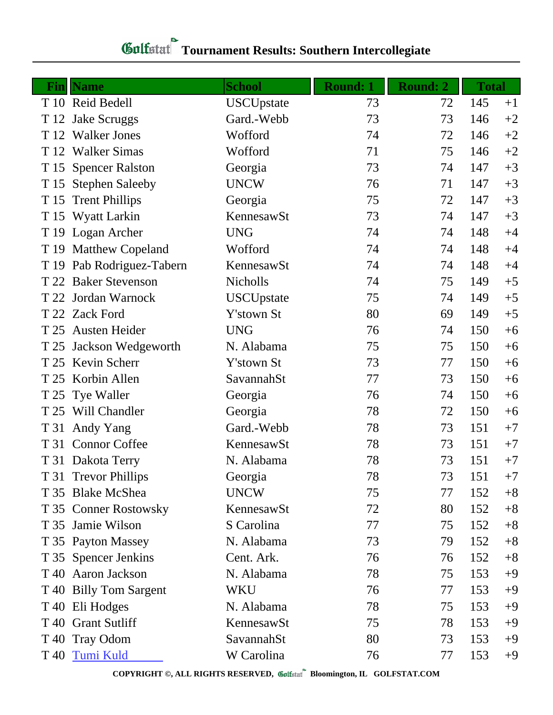# **Tournament Results: Southern Intercollegiate**

|      | <b>Fin</b>   Name         | <b>School</b>     | <b>Round: 1</b> | <b>Round: 2</b> | <b>Total</b> |      |
|------|---------------------------|-------------------|-----------------|-----------------|--------------|------|
|      | T 10 Reid Bedell          | <b>USCUpstate</b> | 73              | 72              | 145          | $+1$ |
|      | T 12 Jake Scruggs         | Gard.-Webb        | 73              | 73              | 146          | $+2$ |
|      | T 12 Walker Jones         | Wofford           | 74              | 72              | 146          | $+2$ |
|      | T 12 Walker Simas         | Wofford           | 71              | 75              | 146          | $+2$ |
|      | T 15 Spencer Ralston      | Georgia           | 73              | 74              | 147          | $+3$ |
|      | T 15 Stephen Saleeby      | <b>UNCW</b>       | 76              | 71              | 147          | $+3$ |
|      | T 15 Trent Phillips       | Georgia           | 75              | 72              | 147          | $+3$ |
|      | T 15 Wyatt Larkin         | KennesawSt        | 73              | 74              | 147          | $+3$ |
|      | T 19 Logan Archer         | <b>UNG</b>        | 74              | 74              | 148          | $+4$ |
|      | T 19 Matthew Copeland     | Wofford           | 74              | 74              | 148          | $+4$ |
|      | T 19 Pab Rodriguez-Tabern | KennesawSt        | 74              | 74              | 148          | $+4$ |
|      | T 22 Baker Stevenson      | Nicholls          | 74              | 75              | 149          | $+5$ |
|      | T 22 Jordan Warnock       | <b>USCUpstate</b> | 75              | 74              | 149          | $+5$ |
|      | T 22 Zack Ford            | Y'stown St        | 80              | 69              | 149          | $+5$ |
|      | T 25 Austen Heider        | <b>UNG</b>        | 76              | 74              | 150          | $+6$ |
| T 25 | Jackson Wedgeworth        | N. Alabama        | 75              | 75              | 150          | $+6$ |
|      | T 25 Kevin Scherr         | Y'stown St        | 73              | 77              | 150          | $+6$ |
|      | T 25 Korbin Allen         | SavannahSt        | 77              | 73              | 150          | $+6$ |
|      | T 25 Tye Waller           | Georgia           | 76              | 74              | 150          | $+6$ |
|      | T 25 Will Chandler        | Georgia           | 78              | 72              | 150          | $+6$ |
|      | T 31 Andy Yang            | Gard.-Webb        | 78              | 73              | 151          | $+7$ |
|      | T 31 Connor Coffee        | KennesawSt        | 78              | 73              | 151          | $+7$ |
|      | T 31 Dakota Terry         | N. Alabama        | 78              | 73              | 151          | $+7$ |
|      | T 31 Trevor Phillips      | Georgia           | 78              | 73              | 151          | $+7$ |
|      | T 35 Blake McShea         | <b>UNCW</b>       | 75              | 77              | 152          | $+8$ |
|      | T 35 Conner Rostowsky     | KennesawSt        | 72              | 80              | 152          | $+8$ |
|      | T 35 Jamie Wilson         | S Carolina        | 77              | 75              | 152          | $+8$ |
|      | T 35 Payton Massey        | N. Alabama        | 73              | 79              | 152          | $+8$ |
|      | T 35 Spencer Jenkins      | Cent. Ark.        | 76              | 76              | 152          | $+8$ |
|      | T 40 Aaron Jackson        | N. Alabama        | 78              | 75              | 153          | $+9$ |
|      | T 40 Billy Tom Sargent    | WKU               | 76              | 77              | 153          | $+9$ |
|      | T 40 Eli Hodges           | N. Alabama        | 78              | 75              | 153          | $+9$ |
|      | T 40 Grant Sutliff        | KennesawSt        | 75              | 78              | 153          | $+9$ |
|      | T 40 Tray Odom            | SavannahSt        | 80              | 73              | 153          | $+9$ |
|      | T 40 Tumi Kuld            | W Carolina        | 76              | 77              | 153          | $+9$ |

**COPYRIGHT ©, ALL RIGHTS RESERVED, Bloomington, IL GOLFSTAT.COM**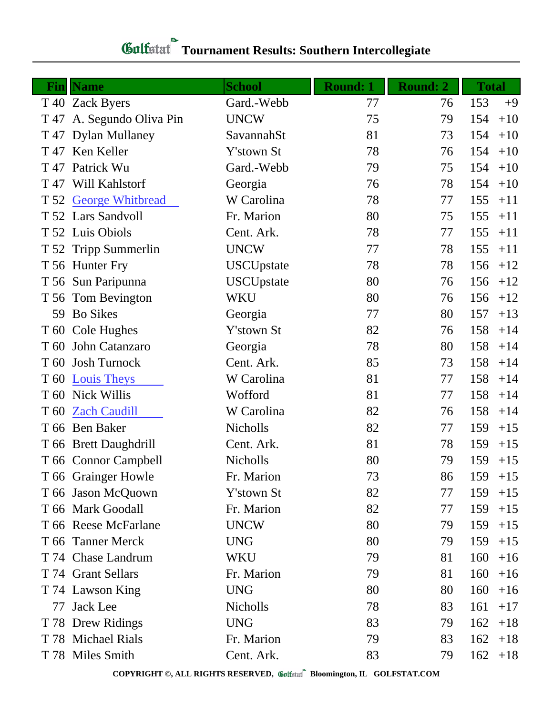# **Tournament Results: Southern Intercollegiate**

|      | <b>Fin</b>   Name         | <b>School</b>     | <b>Round: 1</b> | <b>Round: 2</b> | <b>Total</b> |
|------|---------------------------|-------------------|-----------------|-----------------|--------------|
|      | T 40 Zack Byers           | Gard.-Webb        | 77              | 76              | 153<br>$+9$  |
|      | T 47 A. Segundo Oliva Pin | <b>UNCW</b>       | 75              | 79              | 154<br>$+10$ |
|      | T 47 Dylan Mullaney       | SavannahSt        | 81              | 73              | 154<br>$+10$ |
|      | T 47 Ken Keller           | Y'stown St        | 78              | 76              | 154<br>$+10$ |
|      | T 47 Patrick Wu           | Gard.-Webb        | 79              | 75              | 154<br>$+10$ |
|      | T 47 Will Kahlstorf       | Georgia           | 76              | 78              | 154<br>$+10$ |
|      | T 52 George Whitbread     | W Carolina        | 78              | 77              | 155<br>$+11$ |
|      | T 52 Lars Sandvoll        | Fr. Marion        | 80              | 75              | 155<br>$+11$ |
|      | T 52 Luis Obiols          | Cent. Ark.        | 78              | 77              | 155<br>$+11$ |
|      | T 52 Tripp Summerlin      | <b>UNCW</b>       | 77              | 78              | 155<br>$+11$ |
|      | T 56 Hunter Fry           | <b>USCUpstate</b> | 78              | 78              | 156<br>$+12$ |
|      | T 56 Sun Paripunna        | <b>USCUpstate</b> | 80              | 76              | 156<br>$+12$ |
|      | T 56 Tom Bevington        | WKU               | 80              | 76              | 156<br>$+12$ |
|      | 59 Bo Sikes               | Georgia           | 77              | 80              | 157<br>$+13$ |
|      | T 60 Cole Hughes          | Y'stown St        | 82              | 76              | 158<br>$+14$ |
| T 60 | John Catanzaro            | Georgia           | 78              | 80              | 158<br>$+14$ |
|      | T 60 Josh Turnock         | Cent. Ark.        | 85              | 73              | 158<br>$+14$ |
|      | T 60 Louis Theys          | W Carolina        | 81              | 77              | 158<br>$+14$ |
|      | T 60 Nick Willis          | Wofford           | 81              | 77              | 158<br>$+14$ |
|      | T 60 Zach Caudill         | W Carolina        | 82              | 76              | 158<br>$+14$ |
|      | T 66 Ben Baker            | Nicholls          | 82              | 77              | 159<br>$+15$ |
|      | T 66 Brett Daughdrill     | Cent. Ark.        | 81              | 78              | 159<br>$+15$ |
|      | T 66 Connor Campbell      | Nicholls          | 80              | 79              | 159<br>$+15$ |
|      | T 66 Grainger Howle       | Fr. Marion        | 73              | 86              | 159<br>$+15$ |
|      | T 66 Jason McQuown        | Y'stown St        | 82              | 77              | 159<br>$+15$ |
|      | T 66 Mark Goodall         | Fr. Marion        | 82              | 77              | 159<br>$+15$ |
|      | T 66 Reese McFarlane      | <b>UNCW</b>       | 80              | 79              | 159<br>$+15$ |
|      | T 66 Tanner Merck         | <b>UNG</b>        | 80              | 79              | 159<br>$+15$ |
|      | T 74 Chase Landrum        | <b>WKU</b>        | 79              | 81              | 160<br>$+16$ |
|      | T 74 Grant Sellars        | Fr. Marion        | 79              | 81              | 160<br>$+16$ |
|      | T 74 Lawson King          | <b>UNG</b>        | 80              | 80              | 160<br>$+16$ |
|      | 77 Jack Lee               | Nicholls          | 78              | 83              | 161<br>$+17$ |
|      | T 78 Drew Ridings         | <b>UNG</b>        | 83              | 79              | 162<br>$+18$ |
|      | T 78 Michael Rials        | Fr. Marion        | 79              | 83              | 162<br>$+18$ |
|      | T 78 Miles Smith          | Cent. Ark.        | 83              | 79              | 162<br>$+18$ |